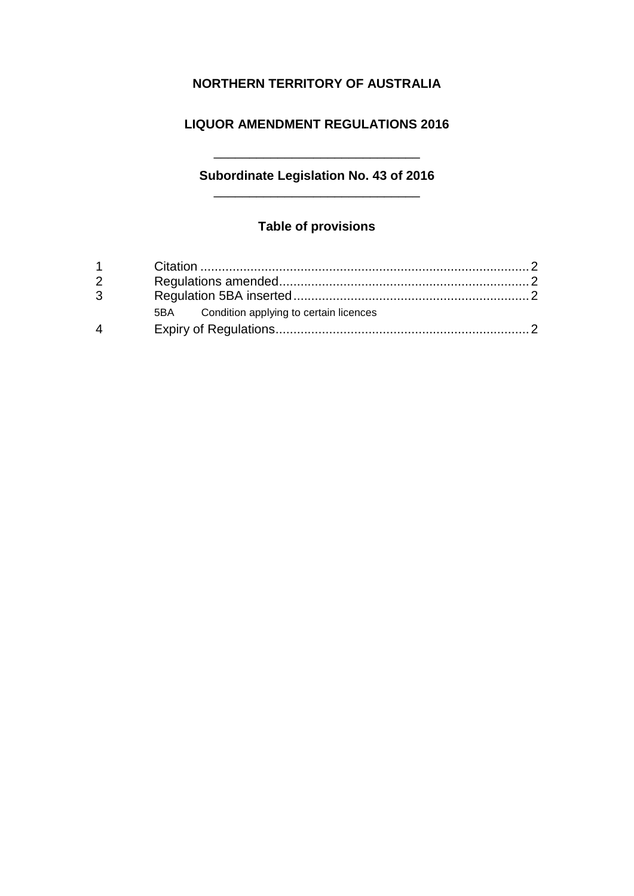## **NORTHERN TERRITORY OF AUSTRALIA**

### **LIQUOR AMENDMENT REGULATIONS 2016**

# **Subordinate Legislation No. 43 of 2016**

 $\overline{\phantom{a}}$  , and the set of the set of the set of the set of the set of the set of the set of the set of the set of the set of the set of the set of the set of the set of the set of the set of the set of the set of the s

### **Table of provisions**

| $1 \quad \blacksquare$   |                                            |  |
|--------------------------|--------------------------------------------|--|
| $2^{\circ}$              |                                            |  |
| $\mathbf{3}$             |                                            |  |
|                          | 5BA Condition applying to certain licences |  |
| $\boldsymbol{\varDelta}$ |                                            |  |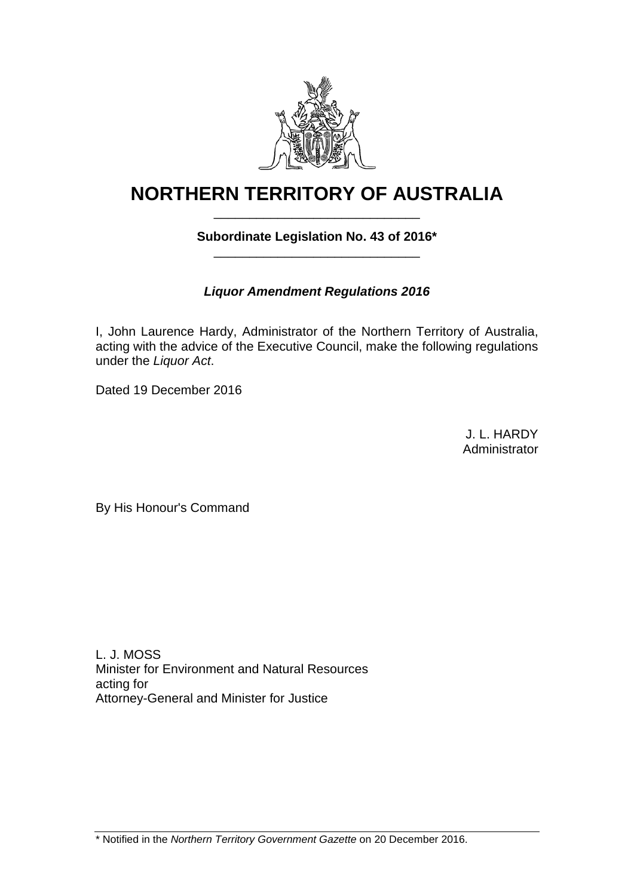

# **NORTHERN TERRITORY OF AUSTRALIA** \_\_\_\_\_\_\_\_\_\_\_\_\_\_\_\_\_\_\_\_\_\_\_\_\_\_\_\_\_

### **Subordinate Legislation No. 43 of 2016\*** \_\_\_\_\_\_\_\_\_\_\_\_\_\_\_\_\_\_\_\_\_\_\_\_\_\_\_\_\_

### *Liquor Amendment Regulations 2016*

I, John Laurence Hardy, Administrator of the Northern Territory of Australia, acting with the advice of the Executive Council, make the following regulations under the *Liquor Act*.

Dated 19 December 2016

J. L. HARDY Administrator

By His Honour's Command

L. J. MOSS Minister for Environment and Natural Resources acting for Attorney-General and Minister for Justice

\* Notified in the *Northern Territory Government Gazette* on 20 December 2016.